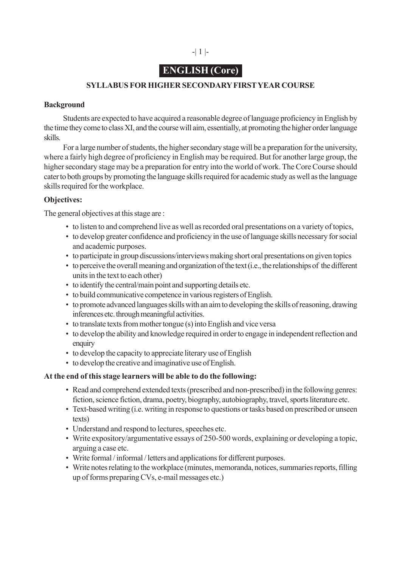# **ENGLISH (Core)**

## **SYLLABUS FOR HIGHER SECONDARY FIRST YEAR COURSE**

#### **Background**

Students are expected to have acquired a reasonable degree of language proficiency in English by the time they come to class XI, and the course will aim, essentially, at promoting the higher order language skills.

For a large number of students, the higher secondary stage will be a preparation for the university, where a fairly high degree of proficiency in English may be required. But for another large group, the higher secondary stage may be a preparation for entry into the world of work. The Core Course should cater to both groups by promoting the language skills required for academic study as well as the language skills required for the workplace.

## **Objectives:**

The general objectives at this stage are :

- to listen to and comprehend live as well as recorded oral presentations on a variety of topics,
- to develop greater confidence and proficiency in the use of language skills necessary for social and academic purposes.
- to participate in group discussions/interviews making short oral presentations on given topics
- to perceive the overall meaning and organization of the text (i.e., the relationships of the different units in the text to each other)
- to identify the central/main point and supporting details etc.
- to build communicative competence in various registers of English.
- to promote advanced languages skills with an aim to developing the skills of reasoning, drawing inferences etc. through meaningful activities.
- to translate texts from mother tongue (s) into English and vice versa
- to develop the ability and knowledge required in order to engage in independent reflection and enquiry
- to develop the capacity to appreciate literary use of English
- to develop the creative and imaginative use of English.

#### **At the end of this stage learners will be able to do the following:**

- Read and comprehend extended texts (prescribed and non-prescribed) in the following genres: fiction, science fiction, drama, poetry, biography, autobiography, travel, sports literature etc.
- Text-based writing (i.e. writing in response to questions or tasks based on prescribed or unseen texts)
- Understand and respond to lectures, speeches etc.
- Write expository/argumentative essays of 250-500 words, explaining or developing a topic, arguing a case etc.
- Write formal / informal / letters and applications for different purposes.
- Write notes relating to the workplace (minutes, memoranda, notices, summaries reports, filling up of forms preparing CVs, e-mail messages etc.)

-| 1 |-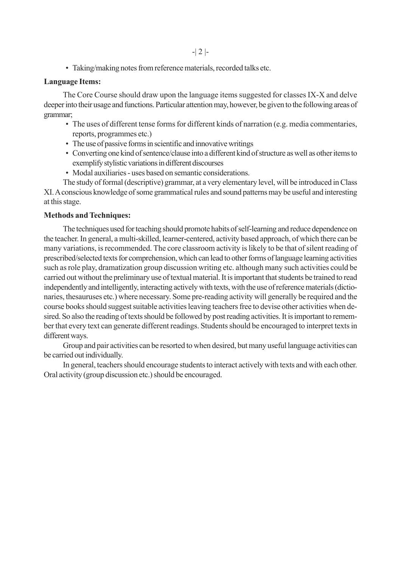• Taking/making notes from reference materials, recorded talks etc.

#### **Language Items:**

The Core Course should draw upon the language items suggested for classes IX-X and delve deeper into their usage and functions. Particular attention may, however, be given to the following areas of grammar;

- The uses of different tense forms for different kinds of narration (e.g. media commentaries, reports, programmes etc.)
- The use of passive forms in scientific and innovative writings
- Converting one kind of sentence/clause into a different kind of structure as well as other items to exemplify stylistic variations in different discourses
- Modal auxiliaries uses based on semantic considerations.

The study of formal (descriptive) grammar, at a very elementary level, will be introduced in Class XI. A conscious knowledge of some grammatical rules and sound patterns may be useful and interesting at this stage.

#### **Methods and Techniques:**

The techniques used for teaching should promote habits of self-learning and reduce dependence on the teacher. In general, a multi-skilled, learner-centered, activity based approach, of which there can be many variations, is recommended. The core classroom activity is likely to be that of silent reading of prescribed/selected texts for comprehension, which can lead to other forms of language learning activities such as role play, dramatization group discussion writing etc. although many such activities could be carried out without the preliminary use of textual material. It is important that students be trained to read independently and intelligently, interacting actively with texts, with the use of reference materials (dictionaries, thesauruses etc.) where necessary. Some pre-reading activity will generally be required and the course books should suggest suitable activities leaving teachers free to devise other activities when desired. So also the reading of texts should be followed by post reading activities. It is important to remember that every text can generate different readings. Students should be encouraged to interpret texts in different ways.

Group and pair activities can be resorted to when desired, but many useful language activities can be carried out individually.

In general, teachers should encourage students to interact actively with texts and with each other. Oral activity (group discussion etc.) should be encouraged.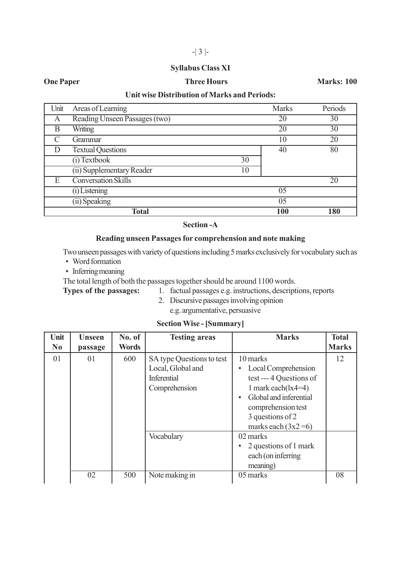#### **Syllabus Class XI**

#### **One Paper Conexample 2018 19 Three Hours Marks: 100**

#### **Unit wise Distribution of Marks and Periods:**

| Unit | Areas of Learning               | <b>Marks</b> | Periods |
|------|---------------------------------|--------------|---------|
| A    | Reading Unseen Passages (two)   | 20           | 30      |
| В    | Writing                         | 20           | 30      |
|      | <b>Grammar</b>                  | 10           | 20      |
|      | <b>Textual Questions</b>        | 40           | 80      |
|      | (i) Textbook<br>30              |              |         |
|      | (ii) Supplementary Reader<br>10 |              |         |
| E    | <b>Conversation Skills</b>      |              | 20      |
|      | $(i)$ Listening                 | 05           |         |
|      | (ii) Speaking                   | 05           |         |
|      | <b>Total</b>                    | 100          | 180     |

**Section -A**

#### **Reading unseen Passages for comprehension and note making**

Two unseen passages with variety of questions including 5 marks exclusively for vocabulary such as

- Word formation
- Inferring meaning

The total length of both the passages together should be around 1100 words.

- **Types of the passages:** 1. factual passages e.g. instructions, descriptions, reports
	- 2. Discursive passages involving opinion e.g. argumentative, persuasive

#### **Section Wise - [Summary]**

| Unit           | <b>Unseen</b> | No. of       | <b>Testing areas</b>                                                                  | <b>Marks</b>                                                                                                                                                                    | <b>Total</b> |
|----------------|---------------|--------------|---------------------------------------------------------------------------------------|---------------------------------------------------------------------------------------------------------------------------------------------------------------------------------|--------------|
| N <sub>0</sub> | passage       | <b>Words</b> |                                                                                       |                                                                                                                                                                                 | <b>Marks</b> |
| 01             | 01            | 600          | SA type Questions to test<br>Local, Global and<br><b>Inferential</b><br>Comprehension | 10 marks<br>Local Comprehension<br>test --- 4 Questions of<br>1 mark each $(lx4=4)$<br>Global and inferential<br>comprehension test<br>3 questions of 2<br>marks each $(3x2=6)$ | 12           |
|                |               |              | Vocabulary                                                                            | 02 marks<br>2 questions of 1 mark<br>each (on inferring<br>meaning)                                                                                                             |              |
|                | 02            | 500          | Note making in                                                                        | 05 marks                                                                                                                                                                        | 08           |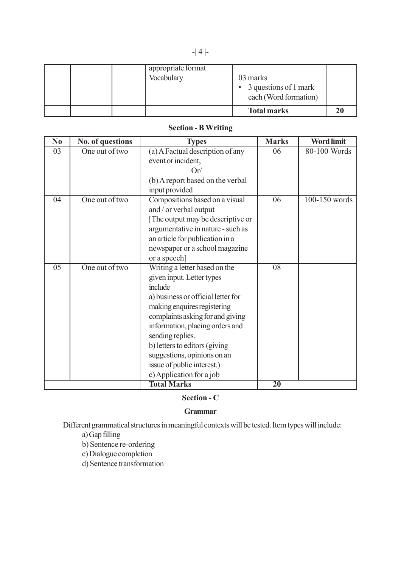| appropriate format<br>Vocabulary | 03 marks<br>$\bullet$ 3 questions of 1 mark<br>each (Word formation) |  |
|----------------------------------|----------------------------------------------------------------------|--|
|                                  | <b>Total marks</b>                                                   |  |

# **Section - B Writing**

| N <sub>0</sub>  | No. of questions | <b>Types</b>                       | <b>Marks</b>    | <b>Word limit</b> |
|-----------------|------------------|------------------------------------|-----------------|-------------------|
| 03              | One out of two   | (a) A Factual description of any   | 06              | 80-100 Words      |
|                 |                  | event or incident,                 |                 |                   |
|                 |                  | Or/                                |                 |                   |
|                 |                  | (b) A report based on the verbal   |                 |                   |
|                 |                  | input provided                     |                 |                   |
| $\overline{04}$ | One out of two   | Compositions based on a visual     | $\overline{06}$ | 100-150 words     |
|                 |                  | and / or verbal output             |                 |                   |
|                 |                  | The output may be descriptive or   |                 |                   |
|                 |                  | argumentative in nature - such as  |                 |                   |
|                 |                  | an article for publication in a    |                 |                   |
|                 |                  | newspaper or a school magazine     |                 |                   |
|                 |                  | or a speech]                       |                 |                   |
| $\overline{05}$ | One out of two   | Writing a letter based on the      | $\overline{08}$ |                   |
|                 |                  | given input. Letter types          |                 |                   |
|                 |                  | include                            |                 |                   |
|                 |                  | a) business or official letter for |                 |                   |
|                 |                  | making enquires registering        |                 |                   |
|                 |                  | complaints asking for and giving   |                 |                   |
|                 |                  | information, placing orders and    |                 |                   |
|                 |                  | sending replies.                   |                 |                   |
|                 |                  | b) letters to editors (giving      |                 |                   |
|                 |                  | suggestions, opinions on an        |                 |                   |
|                 |                  | issue of public interest.)         |                 |                   |
|                 |                  | c) Application for a job           |                 |                   |
|                 |                  | <b>Total Marks</b>                 | $\overline{20}$ |                   |

# **Section - C**

#### **Grammar**

Different grammatical structures in meaningful contexts will be tested. Item types will include:

# a) Gap filling

b) Sentence re-ordering

c) Dialogue completion

d) Sentence transformation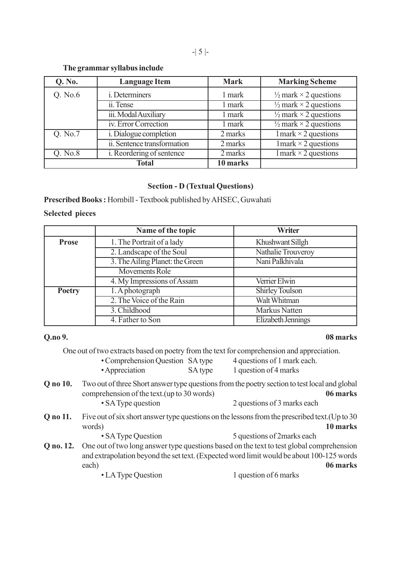#### **The grammar syllabus include**

| <b>Q. No.</b> | <b>Language Item</b>          | <b>Mark</b> | <b>Marking Scheme</b>                   |
|---------------|-------------------------------|-------------|-----------------------------------------|
| Q. No.6       | <i>i</i> . Determiners        | 1 mark      | $\frac{1}{2}$ mark $\times$ 2 questions |
|               | ii. Tense                     | 1 mark      | $\frac{1}{2}$ mark $\times$ 2 questions |
|               | iii. Modal Auxiliary          | 1 mark      | $\frac{1}{2}$ mark $\times$ 2 questions |
|               | iv. Error Correction          | 1 mark      | $\frac{1}{2}$ mark $\times$ 2 questions |
| Q. No.7       | <i>i.</i> Dialogue completion | 2 marks     | $1$ mark $\times$ 2 questions           |
|               | ii. Sentence transformation   | 2 marks     | $1$ mark $\times$ 2 questions           |
| Q. No.8       | i. Reordering of sentence     | 2 marks     | $1$ mark $\times$ 2 questions           |
|               | <b>Total</b>                  | 10 marks    |                                         |

#### **Section - D (Textual Questions)**

**Prescribed Books :** Hornbill - Textbook published by AHSEC, Guwahati

#### **Selected pieces**

|               | Name of the topic                                  | Writer                 |  |  |
|---------------|----------------------------------------------------|------------------------|--|--|
| <b>Prose</b>  | 1. The Portrait of a lady                          | Khushwant Sillgh       |  |  |
|               | 2. Landscape of the Soul                           | Nathalie Trouveroy     |  |  |
|               | 3. The Ailing Planet: the Green<br>Nani Palkhivala |                        |  |  |
|               | <b>Movements Role</b>                              |                        |  |  |
|               | 4. My Impressions of Assam                         | Verrier Elwin          |  |  |
| <b>Poetry</b> | 1. A photograph                                    | <b>Shirley Toulson</b> |  |  |
|               | 2. The Voice of the Rain                           | Walt Whitman           |  |  |
|               | 3. Childhood                                       | Markus Natten          |  |  |
|               | 4. Father to Son                                   | Elizabeth Jennings     |  |  |

#### **Q.no 9. 08 marks**

One out of two extracts based on poetry from the text for comprehension and appreciation.

| • Comprehension Question SA type |         | 4 questions of 1 mark each. |
|----------------------------------|---------|-----------------------------|
| • Appreciation                   | SA type | 1 question of 4 marks       |

- **Q no 10.** Two out of three Short answer type questions from the poetry section to test local and global comprehension of the text.(up to 30 words) **06 marks** • SA Type question 2 questions of 3 marks each
- **Q no 11.** Five out of six short answer type questions on the lessons from the prescribed text.(Up to 30 words) **10 marks**

• SA Type Question 5 questions of 2marks each

**Q no. 12.** One out of two long answer type questions based on the text to test global comprehension and extrapolation beyond the set text. (Expected word limit would be about 100-125 words each) **06 marks**

• LA Type Question 1 question of 6 marks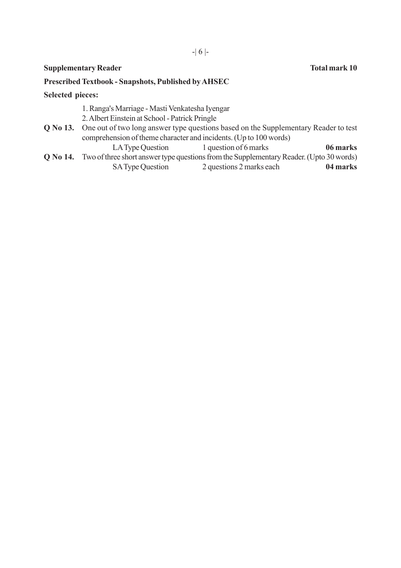#### **Supplementary Reader Total mark 10**

#### **Prescribed Textbook - Snapshots, Published by AHSEC**

#### **Selected pieces:**

- 1. Ranga's Marriage Masti Venkatesha Iyengar
- 2. Albert Einstein at School Patrick Pringle
- **Q No 13.** One out of two long answer type questions based on the Supplementary Reader to test comprehension of theme character and incidents. (Up to 100 words)
- LA Type Question 1 question of 6 marks **06 marks Q No 14.** Two of three short answer type questions from the Supplementary Reader. (Upto 30 words)
	- SA Type Question 2 questions 2 marks each **04 marks**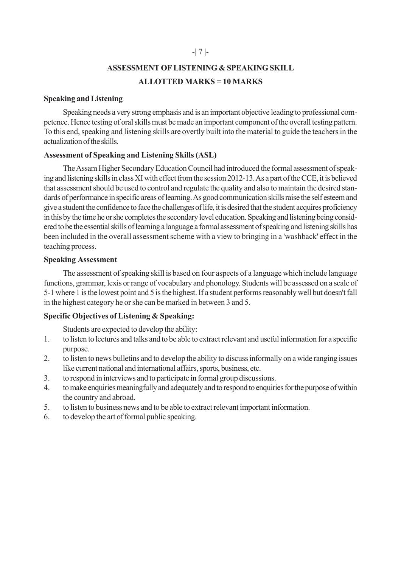# **ASSESSMENT OF LISTENING & SPEAKING SKILL ALLOTTED MARKS = 10 MARKS**

#### **Speaking and Listening**

Speaking needs a very strong emphasis and is an important objective leading to professional competence. Hence testing of oral skills must be made an important component of the overall testing pattern. To this end, speaking and listening skills are overtly built into the material to guide the teachers in the actualization of the skills.

### **Assessment of Speaking and Listening Skills (ASL)**

The Assam Higher Secondary Education Council had introduced the formal assessment of speaking and listening skills in class XI with effect from the session 2012-13. As a part of the CCE, it is believed that assessment should be used to control and regulate the quality and also to maintain the desired standards of performance in specific areas of learning. As good communication skills raise the self esteem and give a student the confidence to face the challenges of life, it is desired that the student acquires proficiency in this by the time he or she completes the secondary level education. Speaking and listening being considered to be the essential skills of learning a language a formal assessment of speaking and listening skills has been included in the overall assessment scheme with a view to bringing in a 'washback' effect in the teaching process.

#### **Speaking Assessment**

The assessment of speaking skill is based on four aspects of a language which include language functions, grammar, lexis or range of vocabulary and phonology. Students will be assessed on a scale of 5-1 where 1 is the lowest point and 5 is the highest. If a student performs reasonably well but doesn't fall in the highest category he or she can be marked in between 3 and 5.

### **Specific Objectives of Listening & Speaking:**

Students are expected to develop the ability:

- 1. to listen to lectures and talks and to be able to extract relevant and useful information for a specific purpose.
- 2. to listen to news bulletins and to develop the ability to discuss informally on a wide ranging issues like current national and international affairs, sports, business, etc.
- 3. to respond in interviews and to participate in formal group discussions.
- 4. to make enquiries meaningfully and adequately and to respond to enquiries for the purpose of within the country and abroad.
- 5. to listen to business news and to be able to extract relevant important information.
- 6. to develop the art of formal public speaking.

### -| 7 |-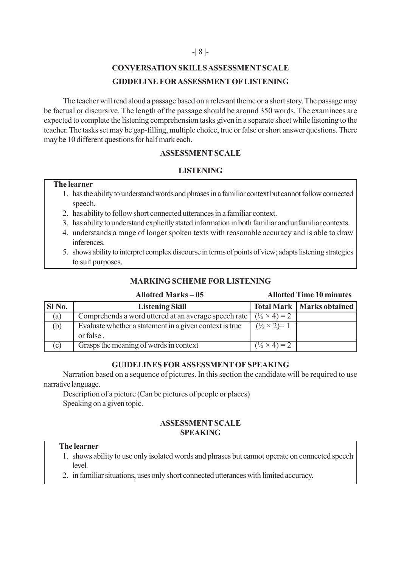#### -| 8 |-

# **CONVERSATION SKILLS ASSESSMENT SCALE GIDDELINE FOR ASSESSMENT OF LISTENING**

The teacher will read aloud a passage based on a relevant theme or a short story. The passage may be factual or discursive. The length of the passage should be around 350 words. The examinees are expected to complete the listening comprehension tasks given in a separate sheet while listening to the teacher. The tasks set may be gap-filling, multiple choice, true or false or short answer questions. There may be 10 different questions for half mark each.

### **ASSESSMENT SCALE**

### **LISTENING**

#### **The learner**

- 1. has the ability to understand words and phrases in a familiar context but cannot follow connected speech.
- 2. has ability to follow short connected utterances in a familiar context.
- 3. has ability to understand explicitly stated information in both familiar and unfamiliar contexts.
- 4. understands a range of longer spoken texts with reasonable accuracy and is able to draw inferences.
- 5. shows ability to interpret complex discourse in terms of points of view; adapts listening strategies to suit purposes.

# **MARKING SCHEME FOR LISTENING**

#### **Allotted Marks – 05 Allotted Time 10 minutes**

| SI No. | <b>Listening Skill</b>                                  |                              | <b>Total Mark   Marks obtained  </b> |
|--------|---------------------------------------------------------|------------------------------|--------------------------------------|
| (a)    | Comprehends a word uttered at an average speech rate    | $(\frac{1}{2} \times 4) = 2$ |                                      |
| (b)    | Evaluate whether a statement in a given context is true | $(\frac{1}{2} \times 2)=1$   |                                      |
|        | or false.                                               |                              |                                      |
| (c)    | Grasps the meaning of words in context                  | $(\frac{1}{2} \times 4) = 2$ |                                      |

### **GUIDELINES FOR ASSESSMENT OF SPEAKING**

Narration based on a sequence of pictures. In this section the candidate will be required to use narrative language.

Description of a picture (Can be pictures of people or places) Speaking on a given topic.

## **ASSESSMENT SCALE SPEAKING**

#### **The learner**

- 1. shows ability to use only isolated words and phrases but cannot operate on connected speech level.
- 2. in familiar situations, uses only short connected utterances with limited accuracy.